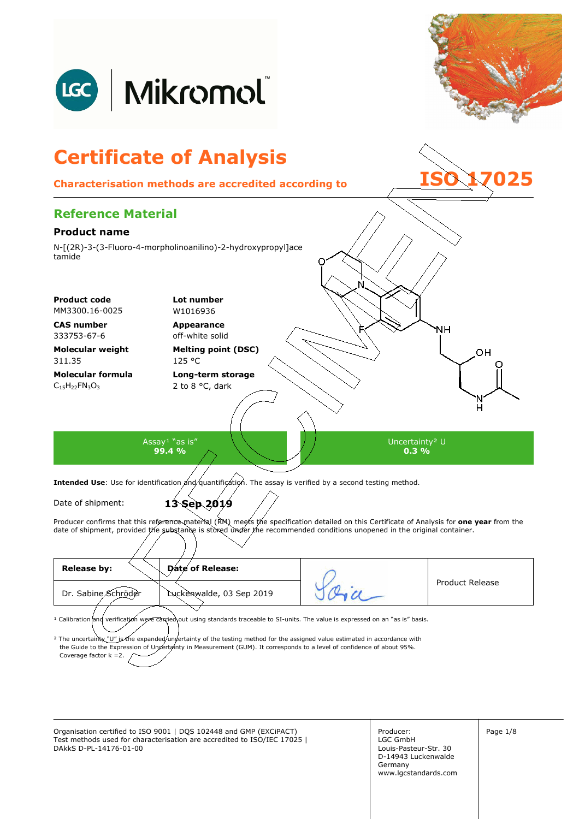

| Release by:<br>Date of Release:                                                                                                                                                                                                                                                                                                                                                                                                                |  |                 |  |
|------------------------------------------------------------------------------------------------------------------------------------------------------------------------------------------------------------------------------------------------------------------------------------------------------------------------------------------------------------------------------------------------------------------------------------------------|--|-----------------|--|
| Dr. Sabine Schröder<br>Luckenwalde, 03 Sep 2019                                                                                                                                                                                                                                                                                                                                                                                                |  | Product Release |  |
| <sup>1</sup> Calibration and verification were carried out using standards traceable to SI-units. The value is expressed on an "as is" basis.<br><sup>2</sup> The uncertainty "U" is the expanded/undertainty of the testing method for the assigned value estimated in accordance with<br>the Guide to the Expression of Ungertainty in Measurement (GUM). It corresponds to a level of confidence of about 95%.<br>Coverage factor $k = 2$ . |  |                 |  |

Organisation certified to ISO 9001 | DQS 102448 and GMP (EXCIPACT) Producer: Producer: Page 1/8 Test methods used for characterisation are accredited to ISO/IEC 17025 | DAkkS D-PL-14176-01-00

Producer: LGC GmbH Louis-Pasteur-Str. 30 D-14943 Luckenwalde Germany www.lgcstandards.com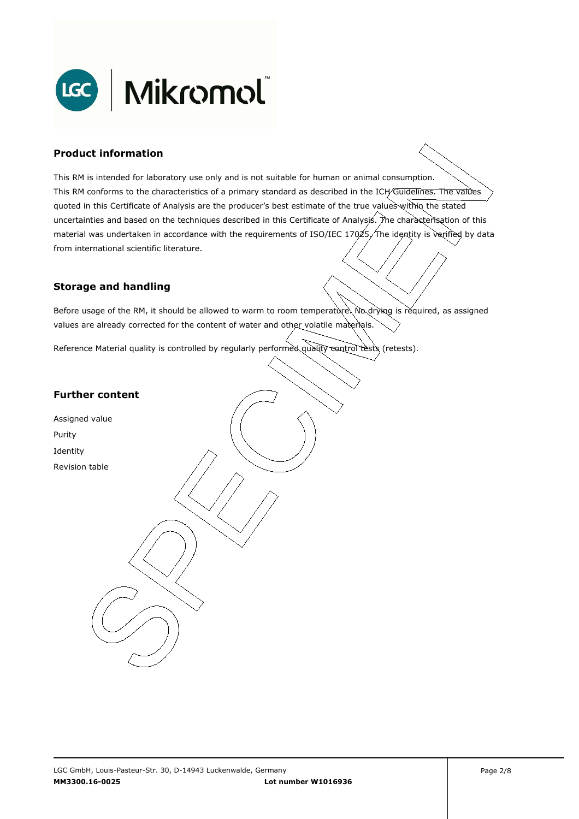

### **Product information**

This RM is intended for laboratory use only and is not suitable for human or animal consumption. This RM conforms to the characteristics of a primary standard as described in the ICH/Guidelines. The values quoted in this Certificate of Analysis are the producer's best estimate of the true values within the stated uncertainties and based on the techniques described in this Certificate of Analysis. The characterisation of this material was undertaken in accordance with the requirements of ISO/IEC 17025, The identity is verified by data . from international scientific literature.

#### **Storage and handling**

Before usage of the RM, it should be allowed to warm to room temperature. No drying is required, as assigned values are already corrected for the content of water and other volatile materials.

Reference Material quality is controlled by regularly performed quality control tests (retests).

### **Further content**

Assigned value Purity Identity Revision table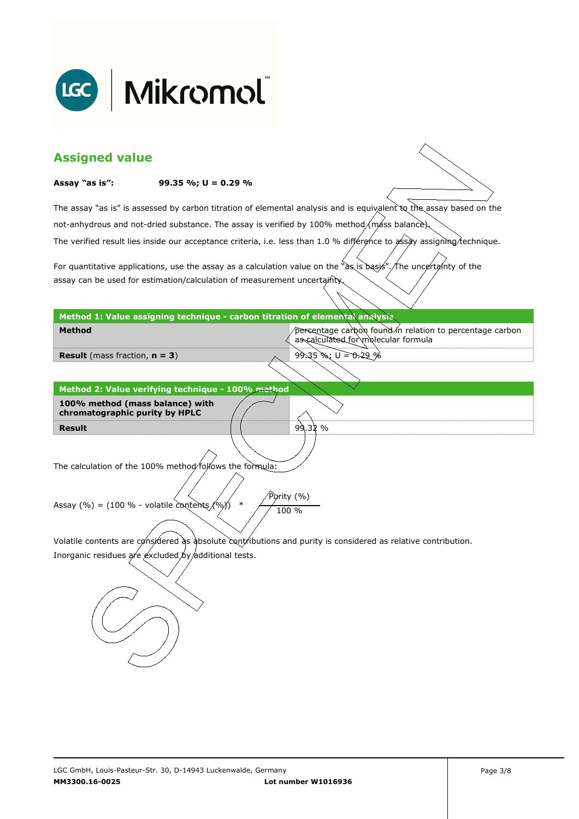

| <b>Assigned value</b>                                                                                                  |                                                                                                 |
|------------------------------------------------------------------------------------------------------------------------|-------------------------------------------------------------------------------------------------|
| Assay "as is":<br>99.35 %; $U = 0.29$ %                                                                                |                                                                                                 |
| The assay "as is" is assessed by carbon titration of elemental analysis and is equivalent to the assay based on the    |                                                                                                 |
| not-anhydrous and not-dried substance. The assay is verified by 100% method/máss balance).                             |                                                                                                 |
| The verified result lies inside our acceptance criteria, i.e. less than 1.0 % différence to assay assigning technique. |                                                                                                 |
| For quantitative applications, use the assay as a calculation value on the "as is basis". The uncertainty of the       |                                                                                                 |
| assay can be used for estimation/calculation of measurement uncertainty.                                               |                                                                                                 |
| Method 1: Value assigning technique - carbon titration of elemental analysis                                           |                                                                                                 |
| Method                                                                                                                 | percentage carbon found in relation to percentage carbon<br>as calculated for molecular formula |
| <b>Result</b> (mass fraction, $n = 3$ )                                                                                | $99.35$ %; $U = 0.29$ %                                                                         |
|                                                                                                                        |                                                                                                 |
| Method 2: Value verifying technique - 100% method                                                                      |                                                                                                 |
| 100% method (mass balance) with<br>chromatographic purity by HPLC                                                      |                                                                                                 |
| <b>Result</b>                                                                                                          | 99.32%                                                                                          |
|                                                                                                                        |                                                                                                 |
| The calculation of the 100% method/follows the formula:                                                                |                                                                                                 |
|                                                                                                                        |                                                                                                 |
| Assay (%) = (100 % - volatile contents $(%)$<br>$\ast$                                                                 | Purity (%)<br>100 %                                                                             |
|                                                                                                                        |                                                                                                 |
| Volatile contents are considered as absolute contributions and purity is considered as relative contribution.          |                                                                                                 |
| Inorganic residues are excluded by additional tests.                                                                   |                                                                                                 |
|                                                                                                                        |                                                                                                 |
|                                                                                                                        |                                                                                                 |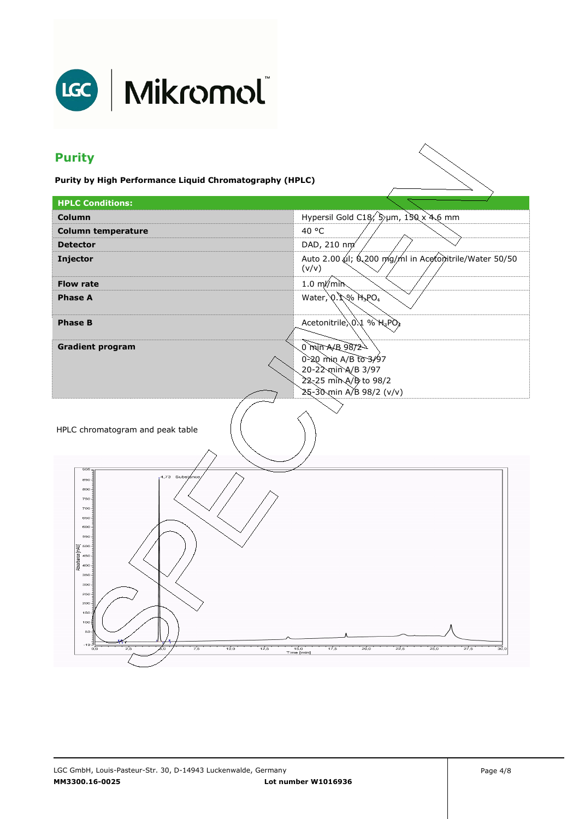

# LGC | Mikromol

## **Purity**

**Purity by High Performance Liquid Chromatography (HPLC)** 

| <b>HPLC Conditions:</b>                                                                                                                                                                                                                                                                        |                                                                                                                     |
|------------------------------------------------------------------------------------------------------------------------------------------------------------------------------------------------------------------------------------------------------------------------------------------------|---------------------------------------------------------------------------------------------------------------------|
| Column                                                                                                                                                                                                                                                                                         | Hypersil Gold C18, Sum, 150 x 4.6 mm                                                                                |
| <b>Column temperature</b>                                                                                                                                                                                                                                                                      | 40 °C                                                                                                               |
| <b>Detector</b>                                                                                                                                                                                                                                                                                | DAD, 210 nm                                                                                                         |
| <b>Injector</b>                                                                                                                                                                                                                                                                                | Auto 2.00 (1; 6.200 mg/ml in Acetonitrile/Water 50/50<br>(v/v)                                                      |
| <b>Flow rate</b>                                                                                                                                                                                                                                                                               | $1.0 \text{ m/m}$                                                                                                   |
| <b>Phase A</b>                                                                                                                                                                                                                                                                                 | Water, $Q.$ $Q\$ $H_3PO_4$                                                                                          |
| <b>Phase B</b>                                                                                                                                                                                                                                                                                 | Acetonitrile $0.1$ % $H_3PO_4$                                                                                      |
| <b>Gradient program</b>                                                                                                                                                                                                                                                                        | 0 min $A/B$ 98/2<br>0-20 min A/B to 3/97<br>20-22 min A/B 3/97<br>22-25 min A/B to 98/2<br>25-30 min A/B 98/2 (v/v) |
| HPLC chromatogram and peak table                                                                                                                                                                                                                                                               |                                                                                                                     |
| 905 <sub>7</sub><br>4,73 Substance<br>850-<br>$800 -$<br>750<br>700<br>650-<br>600-<br>$550 -$<br>$500 -$<br>₹.<br>Absorbance<br>$450 -$<br>$400 -$<br>$350 -$<br>$300 -$<br>$250 -$<br>200<br>150<br>$100 +$<br>$50 -$<br>E <sub>er-</sub><br>2,5<br>7,5<br>10.0<br>12,5<br>$_{\rm oo}$<br>бο | 17,5<br>20,0<br>22,5<br>25,0<br>27,5<br>15,0<br>зō.<br>Time [min]                                                   |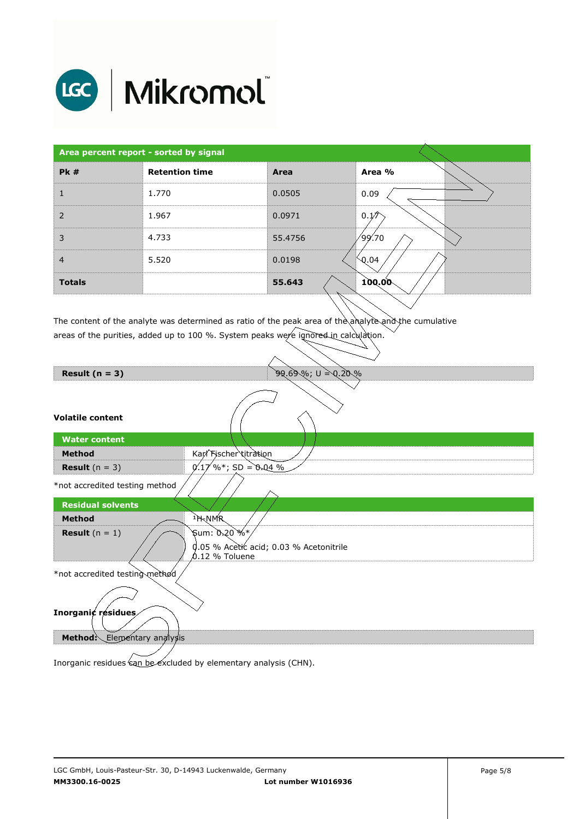

## LGC | Mikromol

| Area percent report - sorted by signal |                       |         |                   |
|----------------------------------------|-----------------------|---------|-------------------|
| PK#                                    | <b>Retention time</b> | Area    | Area %            |
|                                        | 1.770                 | 0.0505  | 0.09              |
| 2                                      | 1.967                 | 0.0971  | 0.1/2             |
| 3                                      | 4.733                 | 55.4756 | ∕99.70            |
| $\overline{4}$                         | 5.520                 | 0.0198  | $\backslash$ 0.04 |
| <b>Totals</b>                          |                       | 55.643  | 100.00            |

The content of the analyte was determined as ratio of the peak area of the analyte and the cumulative areas of the purities, added up to 100 %. System peaks were ignored in calculation.

| <b>********************</b> |  |  |
|-----------------------------|--|--|
|                             |  |  |

**Volatile content** 

| <b>Water content</b>    |                        |  |
|-------------------------|------------------------|--|
| Method                  | Karl Fischer titration |  |
| <b>Result</b> $(n = 3)$ | $\%$ *; SD = 0.04 %    |  |
|                         |                        |  |

**99.69%; U = 0.20%** 

\*not accredited testing method



Inorganic residues can be excluded by elementary analysis (CHN).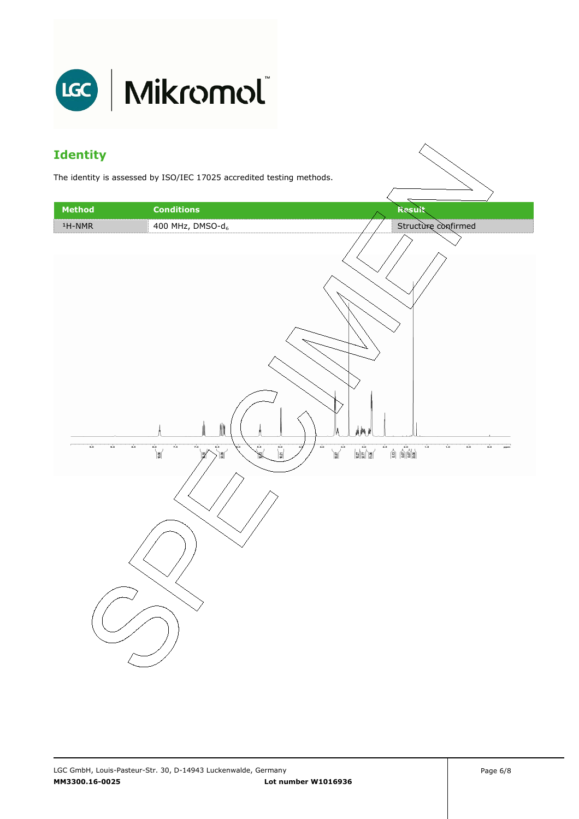

### **Identity**

The identity is assessed by ISO/IEC 17025 accredited testing methods.

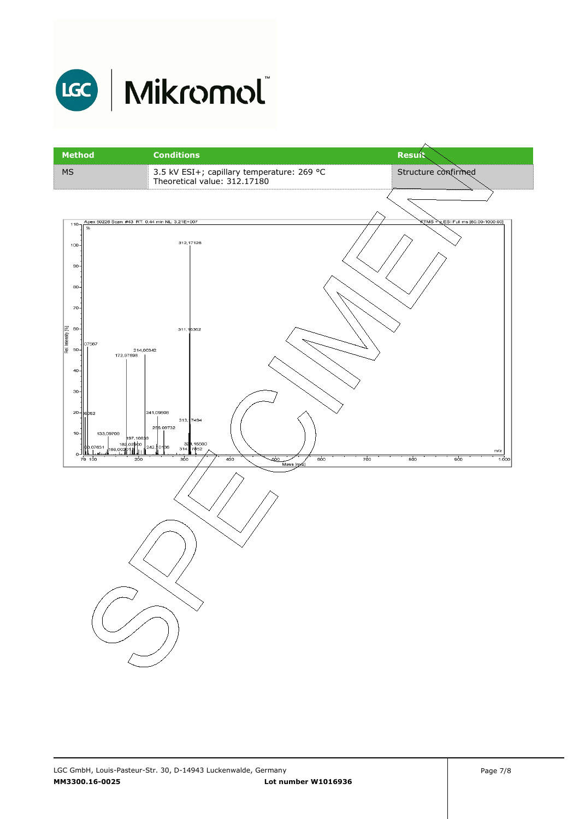